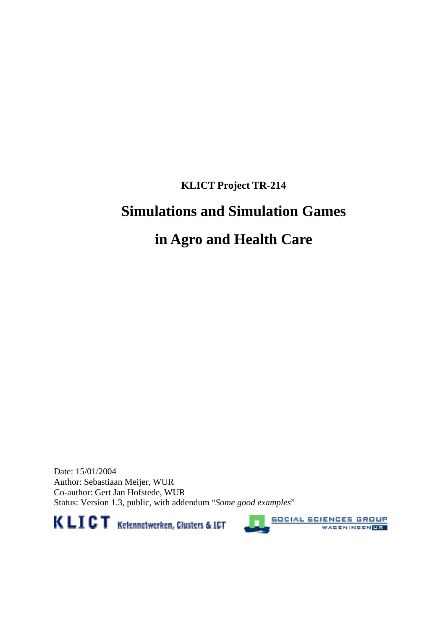# **KLICT Project TR-214**

# **Simulations and Simulation Games**

# **in Agro and Health Care**

Date: 15/01/2004 Author: Sebastiaan Meijer, WUR Co-author: Gert Jan Hofstede, WUR Status: Version 1.3, public, with addendum "*Some good examples*"





**SOCIAL SCIENCES GROUP** WAGENINGEN<mark>UR</mark>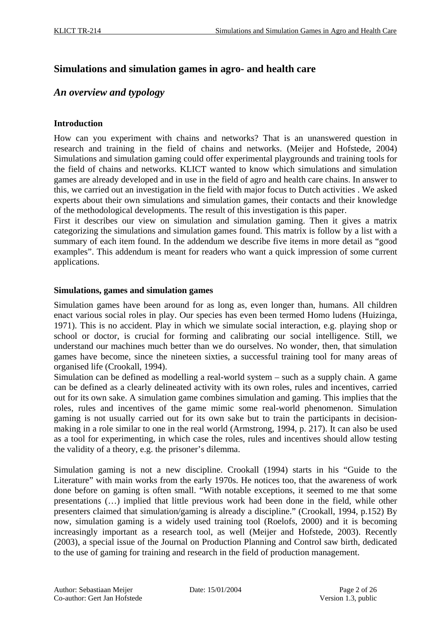# **Simulations and simulation games in agro- and health care**

## *An overview and typology*

#### **Introduction**

How can you experiment with chains and networks? That is an unanswered question in research and training in the field of chains and networks. (Meijer and Hofstede, 2004) Simulations and simulation gaming could offer experimental playgrounds and training tools for the field of chains and networks. KLICT wanted to know which simulations and simulation games are already developed and in use in the field of agro and health care chains. In answer to this, we carried out an investigation in the field with major focus to Dutch activities . We asked experts about their own simulations and simulation games, their contacts and their knowledge of the methodological developments. The result of this investigation is this paper.

First it describes our view on simulation and simulation gaming. Then it gives a matrix categorizing the simulations and simulation games found. This matrix is follow by a list with a summary of each item found. In the addendum we describe five items in more detail as "good examples". This addendum is meant for readers who want a quick impression of some current applications.

#### **Simulations, games and simulation games**

Simulation games have been around for as long as, even longer than, humans. All children enact various social roles in play. Our species has even been termed Homo ludens (Huizinga, 1971). This is no accident. Play in which we simulate social interaction, e.g. playing shop or school or doctor, is crucial for forming and calibrating our social intelligence. Still, we understand our machines much better than we do ourselves. No wonder, then, that simulation games have become, since the nineteen sixties, a successful training tool for many areas of organised life (Crookall, 1994).

Simulation can be defined as modelling a real-world system – such as a supply chain. A game can be defined as a clearly delineated activity with its own roles, rules and incentives, carried out for its own sake. A simulation game combines simulation and gaming. This implies that the roles, rules and incentives of the game mimic some real-world phenomenon. Simulation gaming is not usually carried out for its own sake but to train the participants in decisionmaking in a role similar to one in the real world (Armstrong, 1994, p. 217). It can also be used as a tool for experimenting, in which case the roles, rules and incentives should allow testing the validity of a theory, e.g. the prisoner's dilemma.

Simulation gaming is not a new discipline. Crookall (1994) starts in his "Guide to the Literature" with main works from the early 1970s. He notices too, that the awareness of work done before on gaming is often small. "With notable exceptions, it seemed to me that some presentations (…) implied that little previous work had been done in the field, while other presenters claimed that simulation/gaming is already a discipline." (Crookall, 1994, p.152) By now, simulation gaming is a widely used training tool (Roelofs, 2000) and it is becoming increasingly important as a research tool, as well (Meijer and Hofstede, 2003). Recently (2003), a special issue of the Journal on Production Planning and Control saw birth, dedicated to the use of gaming for training and research in the field of production management.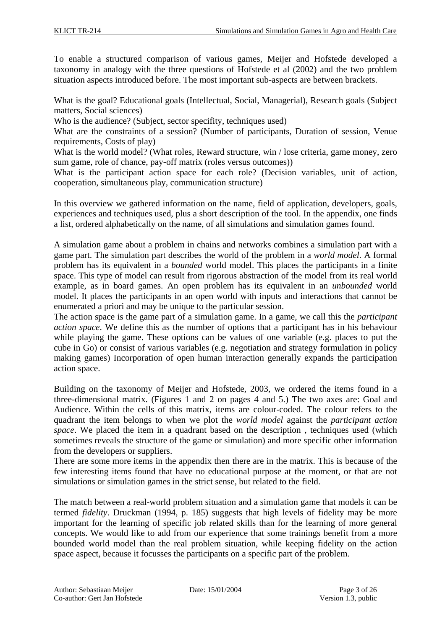To enable a structured comparison of various games, Meijer and Hofstede developed a taxonomy in analogy with the three questions of Hofstede et al (2002) and the two problem situation aspects introduced before. The most important sub-aspects are between brackets.

What is the goal? Educational goals (Intellectual, Social, Managerial), Research goals (Subject matters, Social sciences)

Who is the audience? (Subject, sector specifity, techniques used)

What are the constraints of a session? (Number of participants, Duration of session, Venue requirements, Costs of play)

What is the world model? (What roles, Reward structure, win / lose criteria, game money, zero sum game, role of chance, pay-off matrix (roles versus outcomes))

What is the participant action space for each role? (Decision variables, unit of action, cooperation, simultaneous play, communication structure)

In this overview we gathered information on the name, field of application, developers, goals, experiences and techniques used, plus a short description of the tool. In the appendix, one finds a list, ordered alphabetically on the name, of all simulations and simulation games found.

A simulation game about a problem in chains and networks combines a simulation part with a game part. The simulation part describes the world of the problem in a *world model*. A formal problem has its equivalent in a *bounded* world model. This places the participants in a finite space. This type of model can result from rigorous abstraction of the model from its real world example, as in board games. An open problem has its equivalent in an *unbounded* world model. It places the participants in an open world with inputs and interactions that cannot be enumerated a priori and may be unique to the particular session.

The action space is the game part of a simulation game. In a game, we call this the *participant action space*. We define this as the number of options that a participant has in his behaviour while playing the game. These options can be values of one variable (e.g. places to put the cube in Go) or consist of various variables (e.g. negotiation and strategy formulation in policy making games) Incorporation of open human interaction generally expands the participation action space.

Building on the taxonomy of Meijer and Hofstede, 2003, we ordered the items found in a three-dimensional matrix. (Figures 1 and 2 on pages 4 and 5.) The two axes are: Goal and Audience. Within the cells of this matrix, items are colour-coded. The colour refers to the quadrant the item belongs to when we plot the *world model* against the *participant action space*. We placed the item in a quadrant based on the description , techniques used (which sometimes reveals the structure of the game or simulation) and more specific other information from the developers or suppliers.

There are some more items in the appendix then there are in the matrix. This is because of the few interesting items found that have no educational purpose at the moment, or that are not simulations or simulation games in the strict sense, but related to the field.

The match between a real-world problem situation and a simulation game that models it can be termed *fidelity*. Druckman (1994, p. 185) suggests that high levels of fidelity may be more important for the learning of specific job related skills than for the learning of more general concepts. We would like to add from our experience that some trainings benefit from a more bounded world model than the real problem situation, while keeping fidelity on the action space aspect, because it focusses the participants on a specific part of the problem.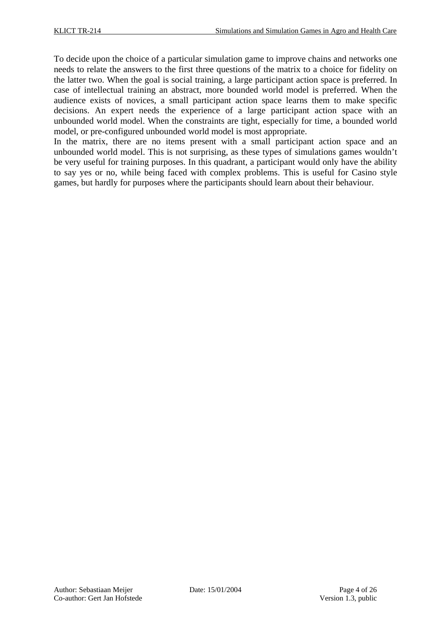To decide upon the choice of a particular simulation game to improve chains and networks one needs to relate the answers to the first three questions of the matrix to a choice for fidelity on the latter two. When the goal is social training, a large participant action space is preferred. In case of intellectual training an abstract, more bounded world model is preferred. When the audience exists of novices, a small participant action space learns them to make specific decisions. An expert needs the experience of a large participant action space with an unbounded world model. When the constraints are tight, especially for time, a bounded world model, or pre-configured unbounded world model is most appropriate.

In the matrix, there are no items present with a small participant action space and an unbounded world model. This is not surprising, as these types of simulations games wouldn't be very useful for training purposes. In this quadrant, a participant would only have the ability to say yes or no, while being faced with complex problems. This is useful for Casino style games, but hardly for purposes where the participants should learn about their behaviour.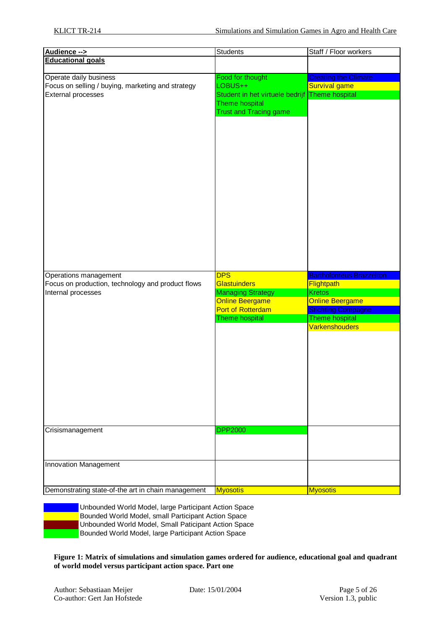| Audience -->                                       | <b>Students</b>                                 | Staff / Floor workers                       |
|----------------------------------------------------|-------------------------------------------------|---------------------------------------------|
| <b>Educational goals</b>                           |                                                 |                                             |
|                                                    |                                                 |                                             |
| Operate daily business                             | Food for thought                                | <b>Creating the Climate</b>                 |
| Focus on selling / buying, marketing and strategy  | LOBUS++                                         | Survival game                               |
| <b>External processes</b>                          | Student in het virtuele bedrijf                 | Theme hospital                              |
|                                                    | Theme hospital<br><b>Trust and Tracing game</b> |                                             |
|                                                    |                                                 |                                             |
|                                                    |                                                 |                                             |
|                                                    |                                                 |                                             |
|                                                    |                                                 |                                             |
|                                                    |                                                 |                                             |
|                                                    |                                                 |                                             |
|                                                    |                                                 |                                             |
|                                                    |                                                 |                                             |
|                                                    |                                                 |                                             |
|                                                    |                                                 |                                             |
|                                                    |                                                 |                                             |
|                                                    |                                                 |                                             |
|                                                    |                                                 |                                             |
| Operations management                              | <b>DPS</b>                                      | <b>Bartholomeus Brazzelton</b>              |
| Focus on production, technology and product flows  | <b>Glastuinders</b>                             | <b>Flightpath</b><br><b>Kretos</b>          |
| Internal processes                                 | <b>Managing Strategy</b>                        |                                             |
|                                                    | <b>Online Beergame</b><br>Port of Rotterdam     | <b>Online Beergame</b>                      |
|                                                    | Theme hospital                                  | <b>Stichting Compagne</b><br>Theme hospital |
|                                                    |                                                 | <b>Varkenshouders</b>                       |
|                                                    |                                                 |                                             |
|                                                    |                                                 |                                             |
|                                                    |                                                 |                                             |
|                                                    |                                                 |                                             |
|                                                    |                                                 |                                             |
|                                                    |                                                 |                                             |
|                                                    |                                                 |                                             |
|                                                    |                                                 |                                             |
|                                                    |                                                 |                                             |
|                                                    |                                                 |                                             |
|                                                    |                                                 |                                             |
| Crisismanagement                                   | <b>DPP2000</b>                                  |                                             |
|                                                    |                                                 |                                             |
|                                                    |                                                 |                                             |
| <b>Innovation Management</b>                       |                                                 |                                             |
| Demonstrating state-of-the art in chain management | <b>Myosotis</b>                                 | <b>Myosotis</b>                             |

Unbounded World Model, large Participant Action Space Bounded World Model, small Participant Action Space Unbounded World Model, Small Paticipant Action Space Bounded World Model, large Participant Action Space

**Figure 1: Matrix of simulations and simulation games ordered for audience, educational goal and quadrant of world model versus participant action space. Part one**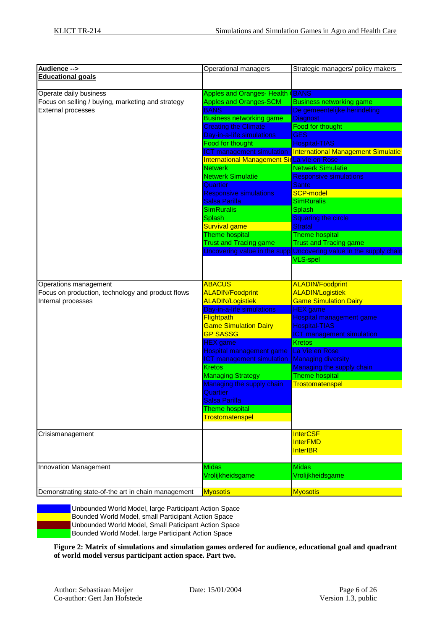| Audience -->                                                               | Operational managers                              | Strategic managers/ policy makers                                                                  |
|----------------------------------------------------------------------------|---------------------------------------------------|----------------------------------------------------------------------------------------------------|
| <b>Educational goals</b>                                                   |                                                   |                                                                                                    |
|                                                                            |                                                   |                                                                                                    |
| Operate daily business                                                     | <b>Apples and Oranges- Health (BANS</b>           |                                                                                                    |
| Focus on selling / buying, marketing and strategy                          | <b>Apples and Oranges-SCM</b>                     | <b>Business networking game</b>                                                                    |
| <b>External processes</b>                                                  | <b>BANS</b>                                       | De gemeentelijke herindeling                                                                       |
|                                                                            | <b>Business networking game</b>                   | <b>Diagnost</b>                                                                                    |
|                                                                            | <b>Creating the Climate</b>                       | Food for thought                                                                                   |
|                                                                            | Day-in-a-life simulations                         | <b>GES</b>                                                                                         |
|                                                                            | Food for thought                                  | <b>Hospital-TIAS</b>                                                                               |
|                                                                            | <b>ICT</b> management simulation                  | <b>International Management Simulatie</b>                                                          |
|                                                                            | International Management SirLa vie en Rose        |                                                                                                    |
|                                                                            | <b>Netwerk</b>                                    | <b>Netwerk Simulatie</b>                                                                           |
|                                                                            | Netwerk Simulatie                                 | <b>Responsive simulations</b>                                                                      |
|                                                                            | Quartier                                          | <b>Sante</b>                                                                                       |
|                                                                            | <b>Responsive simulations</b>                     | <b>SCP-model</b>                                                                                   |
|                                                                            | <b>Salsa Parilla</b>                              | <b>SimRuralis</b>                                                                                  |
|                                                                            | <b>SimRuralis</b>                                 | Splash                                                                                             |
|                                                                            | Splash                                            | <b>Squaring the circle</b>                                                                         |
|                                                                            | <b>Survival game</b>                              | <b>Stratal</b>                                                                                     |
|                                                                            | <b>Theme hospital</b>                             | <b>Theme hospital</b>                                                                              |
|                                                                            |                                                   |                                                                                                    |
|                                                                            | <b>Trust and Tracing game</b>                     | <b>Trust and Tracing game</b><br>Uncovering value in the supp Uncovering value in the supply chain |
|                                                                            |                                                   | <b>VLS-spel</b>                                                                                    |
|                                                                            |                                                   |                                                                                                    |
|                                                                            |                                                   |                                                                                                    |
|                                                                            | <b>ABACUS</b>                                     | <b>ALADIN/Foodprint</b>                                                                            |
| Operations management<br>Focus on production, technology and product flows | <b>ALADIN/Foodprint</b>                           | <b>ALADIN/Logistiek</b>                                                                            |
|                                                                            | <b>ALADIN/Logistiek</b>                           |                                                                                                    |
| Internal processes                                                         | Day-in-a-life simulations                         | <b>Game Simulation Dairy</b><br><b>HEX</b> game                                                    |
|                                                                            | Flightpath                                        | Hospital management game                                                                           |
|                                                                            |                                                   | <b>Hospital-TIAS</b>                                                                               |
|                                                                            | <b>Game Simulation Dairy</b>                      |                                                                                                    |
|                                                                            | <b>GP SASSG</b>                                   | <b>ICT</b> management simulation<br><b>Kretos</b>                                                  |
|                                                                            | <b>HEX</b> game                                   | La Vie en Rose                                                                                     |
|                                                                            | Hospital management game                          |                                                                                                    |
|                                                                            | <b>ICT</b> management simulation<br><b>Kretos</b> | <b>Managing diversity</b>                                                                          |
|                                                                            |                                                   | Managing the supply chain                                                                          |
|                                                                            | <b>Managing Strategy</b>                          | Theme hospital                                                                                     |
|                                                                            | Managing the supply chain                         | <b>Trostomatenspel</b>                                                                             |
|                                                                            | Quartier                                          |                                                                                                    |
|                                                                            | <b>Salsa Parilla</b>                              |                                                                                                    |
|                                                                            | <b>Theme hospital</b>                             |                                                                                                    |
|                                                                            | Trostomatenspel                                   |                                                                                                    |
|                                                                            |                                                   |                                                                                                    |
| Crisismanagement                                                           |                                                   | <b>InterCSF</b>                                                                                    |
|                                                                            |                                                   | <b>InterFMD</b>                                                                                    |
|                                                                            |                                                   | <b>InterIBR</b>                                                                                    |
|                                                                            |                                                   |                                                                                                    |
| <b>Innovation Management</b>                                               | <b>Midas</b>                                      | <b>Midas</b>                                                                                       |
|                                                                            | Vrolijkheidsgame                                  | Vrolijkheidsgame                                                                                   |
|                                                                            |                                                   |                                                                                                    |
| Demonstrating state-of-the art in chain management                         | <b>Myosotis</b>                                   | <b>Myosotis</b>                                                                                    |

Unbounded World Model, large Participant Action Space **Bounded World Model, small Participant Action Space** Unbounded World Model, Small Paticipant Action Space Bounded World Model, large Participant Action Space

**Figure 2: Matrix of simulations and simulation games ordered for audience, educational goal and quadrant of world model versus participant action space. Part two.**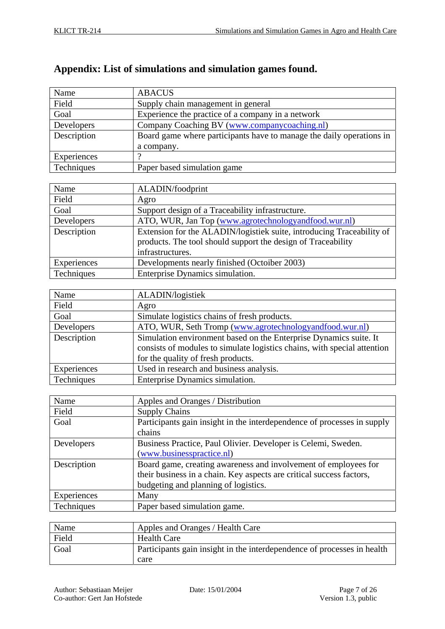# **Appendix: List of simulations and simulation games found.**

| Name        | <b>ABACUS</b>                                                        |
|-------------|----------------------------------------------------------------------|
| Field       | Supply chain management in general                                   |
| Goal        | Experience the practice of a company in a network                    |
| Developers  | Company Coaching BV (www.companycoaching.nl)                         |
| Description | Board game where participants have to manage the daily operations in |
|             | a company.                                                           |
| Experiences |                                                                      |
| Techniques  | Paper based simulation game                                          |

| Name        | ALADIN/foodprint                                                                                                                      |
|-------------|---------------------------------------------------------------------------------------------------------------------------------------|
| Field       | Agro                                                                                                                                  |
| Goal        | Support design of a Traceability infrastructure.                                                                                      |
| Developers  | ATO, WUR, Jan Top (www.agrotechnologyandfood.wur.nl)                                                                                  |
| Description | Extension for the ALADIN/logistiek suite, introducing Traceability of<br>products. The tool should support the design of Traceability |
|             | infrastructures.                                                                                                                      |
| Experiences | Developments nearly finished (Octoiber 2003)                                                                                          |
| Techniques  | Enterprise Dynamics simulation.                                                                                                       |

| Name        | ALADIN/logistiek                                                         |
|-------------|--------------------------------------------------------------------------|
| Field       | Agro                                                                     |
| Goal        | Simulate logistics chains of fresh products.                             |
| Developers  | ATO, WUR, Seth Tromp (www.agrotechnologyandfood.wur.nl)                  |
| Description | Simulation environment based on the Enterprise Dynamics suite. It        |
|             | consists of modules to simulate logistics chains, with special attention |
|             | for the quality of fresh products.                                       |
| Experiences | Used in research and business analysis.                                  |
| Techniques  | Enterprise Dynamics simulation.                                          |

| Name        | Apples and Oranges / Distribution                                       |
|-------------|-------------------------------------------------------------------------|
| Field       | <b>Supply Chains</b>                                                    |
| Goal        | Participants gain insight in the interdependence of processes in supply |
|             | chains                                                                  |
| Developers  | Business Practice, Paul Olivier. Developer is Celemi, Sweden.           |
|             | (www.businesspractice.nl)                                               |
| Description | Board game, creating awareness and involvement of employees for         |
|             | their business in a chain. Key aspects are critical success factors,    |
|             | budgeting and planning of logistics.                                    |
| Experiences | Many                                                                    |
| Techniques  | Paper based simulation game.                                            |

| Name  | Apples and Oranges / Health Care                                        |
|-------|-------------------------------------------------------------------------|
| Field | Health Care                                                             |
| Goal  | Participants gain insight in the interdependence of processes in health |
|       | care                                                                    |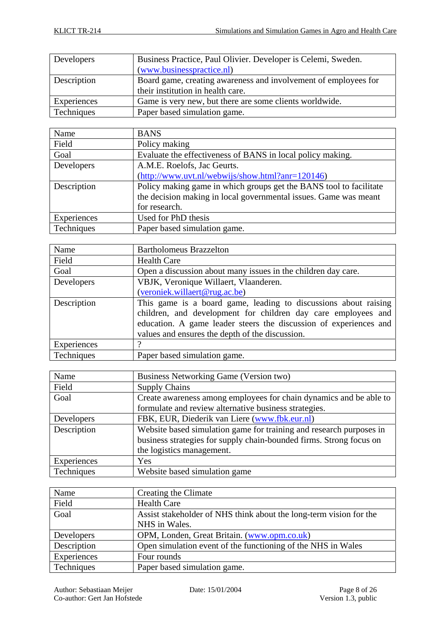| Developers  | Business Practice, Paul Olivier. Developer is Celemi, Sweden.   |
|-------------|-----------------------------------------------------------------|
|             | (www.businesspractice.nl)                                       |
| Description | Board game, creating awareness and involvement of employees for |
|             | their institution in health care.                               |
| Experiences | Game is very new, but there are some clients worldwide.         |
| Techniques  | Paper based simulation game.                                    |

| Name        | <b>BANS</b>                                                        |
|-------------|--------------------------------------------------------------------|
| Field       | Policy making                                                      |
| Goal        | Evaluate the effectiveness of BANS in local policy making.         |
| Developers  | A.M.E. Roelofs, Jac Geurts.                                        |
|             | $(http://www.uvt.nl/webwijs/show.html?anr=120146)$                 |
| Description | Policy making game in which groups get the BANS tool to facilitate |
|             | the decision making in local governmental issues. Game was meant   |
|             | for research.                                                      |
| Experiences | Used for PhD thesis                                                |
| Techniques  | Paper based simulation game.                                       |

| Name        | <b>Bartholomeus Brazzelton</b>                                                                                                                                                                                                                           |
|-------------|----------------------------------------------------------------------------------------------------------------------------------------------------------------------------------------------------------------------------------------------------------|
| Field       | <b>Health Care</b>                                                                                                                                                                                                                                       |
| Goal        | Open a discussion about many issues in the children day care.                                                                                                                                                                                            |
| Developers  | VBJK, Veronique Willaert, Vlaanderen.                                                                                                                                                                                                                    |
|             | (veroniek.willaert@rug.ac.be)                                                                                                                                                                                                                            |
| Description | This game is a board game, leading to discussions about raising<br>children, and development for children day care employees and<br>education. A game leader steers the discussion of experiences and<br>values and ensures the depth of the discussion. |
| Experiences |                                                                                                                                                                                                                                                          |
| Techniques  | Paper based simulation game.                                                                                                                                                                                                                             |

| Name        | Business Networking Game (Version two)                              |
|-------------|---------------------------------------------------------------------|
| Field       | <b>Supply Chains</b>                                                |
| Goal        | Create awareness among employees for chain dynamics and be able to  |
|             | formulate and review alternative business strategies.               |
| Developers  | FBK, EUR, Diederik van Liere (www.fbk.eur.nl)                       |
| Description | Website based simulation game for training and research purposes in |
|             | business strategies for supply chain-bounded firms. Strong focus on |
|             | the logistics management.                                           |
| Experiences | Yes                                                                 |
| Techniques  | Website based simulation game                                       |

| Name        | Creating the Climate                                               |
|-------------|--------------------------------------------------------------------|
| Field       | <b>Health Care</b>                                                 |
| Goal        | Assist stakeholder of NHS think about the long-term vision for the |
|             | NHS in Wales.                                                      |
| Developers  | OPM, Londen, Great Britain. (www.opm.co.uk)                        |
| Description | Open simulation event of the functioning of the NHS in Wales       |
| Experiences | Four rounds                                                        |
| Techniques  | Paper based simulation game.                                       |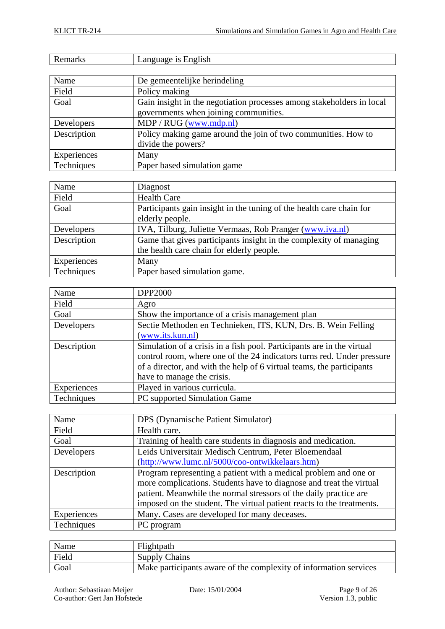| Remarks     | Language is English                                                   |
|-------------|-----------------------------------------------------------------------|
|             |                                                                       |
| Name        | De gemeentelijke herindeling                                          |
| Field       | Policy making                                                         |
| Goal        | Gain insight in the negotiation processes among stakeholders in local |
|             | governments when joining communities.                                 |
| Developers  | MDP / RUG (www.mdp.nl)                                                |
| Description | Policy making game around the join of two communities. How to         |
|             | divide the powers?                                                    |
| Experiences | Many                                                                  |
| Techniques  | Paper based simulation game                                           |

| Name        | Diagnost                                                             |
|-------------|----------------------------------------------------------------------|
| Field       | <b>Health Care</b>                                                   |
| Goal        | Participants gain insight in the tuning of the health care chain for |
|             | elderly people.                                                      |
| Developers  | IVA, Tilburg, Juliette Vermaas, Rob Pranger (www.iva.nl)             |
| Description | Game that gives participants insight in the complexity of managing   |
|             | the health care chain for elderly people.                            |
| Experiences | Many                                                                 |
| Techniques  | Paper based simulation game.                                         |

| Name        | <b>DPP2000</b>                                                         |
|-------------|------------------------------------------------------------------------|
| Field       | Agro                                                                   |
| Goal        | Show the importance of a crisis management plan                        |
| Developers  | Sectie Methoden en Technieken, ITS, KUN, Drs. B. Wein Felling          |
|             | (www.its.kun.nl)                                                       |
| Description | Simulation of a crisis in a fish pool. Participants are in the virtual |
|             | control room, where one of the 24 indicators turns red. Under pressure |
|             | of a director, and with the help of 6 virtual teams, the participants  |
|             | have to manage the crisis.                                             |
| Experiences | Played in various curricula.                                           |
| Techniques  | PC supported Simulation Game                                           |

| Name        | DPS (Dynamische Patient Simulator)                                    |
|-------------|-----------------------------------------------------------------------|
| Field       | Health care.                                                          |
| Goal        | Training of health care students in diagnosis and medication.         |
| Developers  | Leids Universitair Medisch Centrum, Peter Bloemendaal                 |
|             | (http://www.lumc.nl/5000/coo-ontwikkelaars.htm)                       |
| Description | Program representing a patient with a medical problem and one or      |
|             | more complications. Students have to diagnose and treat the virtual   |
|             | patient. Meanwhile the normal stressors of the daily practice are     |
|             | imposed on the student. The virtual patient reacts to the treatments. |
| Experiences | Many. Cases are developed for many deceases.                          |
| Techniques  | PC program                                                            |

| Name  | Flightpath                                                        |
|-------|-------------------------------------------------------------------|
| Field | <b>Supply Chains</b>                                              |
| Goal  | Make participants aware of the complexity of information services |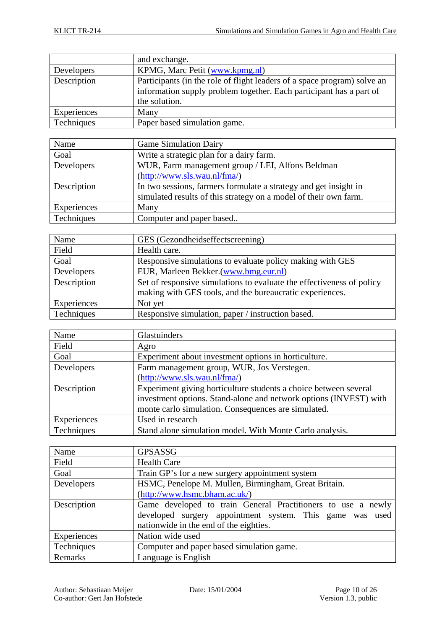|             | and exchange.                                                                                                                                                    |
|-------------|------------------------------------------------------------------------------------------------------------------------------------------------------------------|
| Developers  | KPMG, Marc Petit (www.kpmg.nl)                                                                                                                                   |
| Description | Participants (in the role of flight leaders of a space program) solve an<br>information supply problem together. Each participant has a part of<br>the solution. |
| Experiences | Many                                                                                                                                                             |
| Techniques  | Paper based simulation game.                                                                                                                                     |

| Name        | <b>Game Simulation Dairy</b>                                     |
|-------------|------------------------------------------------------------------|
| Goal        | Write a strategic plan for a dairy farm.                         |
| Developers  | WUR, Farm management group / LEI, Alfons Beldman                 |
|             | (http://www.sls.wau.nl/fma')                                     |
| Description | In two sessions, farmers formulate a strategy and get insight in |
|             | simulated results of this strategy on a model of their own farm. |
| Experiences | Many                                                             |
| Techniques  | Computer and paper based                                         |

| Name        | GES (Gezondheidseffectscreening)                                      |
|-------------|-----------------------------------------------------------------------|
| Field       | Health care.                                                          |
| Goal        | Responsive simulations to evaluate policy making with GES             |
| Developers  | EUR, Marleen Bekker.(www.bmg.eur.nl)                                  |
| Description | Set of responsive simulations to evaluate the effectiveness of policy |
|             | making with GES tools, and the bureaucratic experiences.              |
| Experiences | Not yet                                                               |
| Techniques  | Responsive simulation, paper / instruction based.                     |

| Name        | Glastuinders                                                                                                                          |
|-------------|---------------------------------------------------------------------------------------------------------------------------------------|
| Field       | Agro                                                                                                                                  |
| Goal        | Experiment about investment options in horticulture.                                                                                  |
| Developers  | Farm management group, WUR, Jos Verstegen.                                                                                            |
|             | (http://www.sls.wau.nl/fma/)                                                                                                          |
| Description | Experiment giving horticulture students a choice between several<br>investment options. Stand-alone and network options (INVEST) with |
|             | monte carlo simulation. Consequences are simulated.                                                                                   |
| Experiences | Used in research                                                                                                                      |
| Techniques  | Stand alone simulation model. With Monte Carlo analysis.                                                                              |

| Name        | <b>GPSASSG</b>                                               |
|-------------|--------------------------------------------------------------|
| Field       | <b>Health Care</b>                                           |
| Goal        | Train GP's for a new surgery appointment system              |
| Developers  | HSMC, Penelope M. Mullen, Birmingham, Great Britain.         |
|             | $(\frac{http://www.hsmc.bham.ac.uk/}{$                       |
| Description | Game developed to train General Practitioners to use a newly |
|             | developed surgery appointment system. This game was used     |
|             | nationwide in the end of the eighties.                       |
| Experiences | Nation wide used                                             |
| Techniques  | Computer and paper based simulation game.                    |
| Remarks     | Language is English                                          |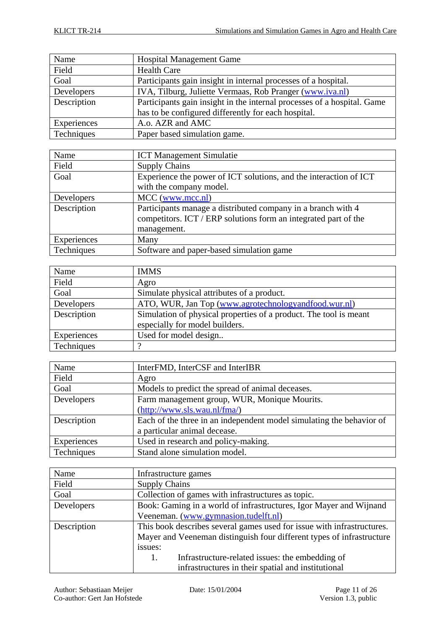| <b>Hospital Management Game</b>                                         |
|-------------------------------------------------------------------------|
| <b>Health Care</b>                                                      |
| Participants gain insight in internal processes of a hospital.          |
| IVA, Tilburg, Juliette Vermaas, Rob Pranger (www.iva.nl)                |
| Participants gain insight in the internal processes of a hospital. Game |
| has to be configured differently for each hospital.                     |
| A.o. AZR and AMC                                                        |
| Paper based simulation game.                                            |
|                                                                         |

| Name        | <b>ICT Management Simulatie</b>                                   |
|-------------|-------------------------------------------------------------------|
| Field       | <b>Supply Chains</b>                                              |
| Goal        | Experience the power of ICT solutions, and the interaction of ICT |
|             | with the company model.                                           |
| Developers  | $MCC$ (www.mcc.nl)                                                |
| Description | Participants manage a distributed company in a branch with 4      |
|             | competitors. ICT / ERP solutions form an integrated part of the   |
|             | management.                                                       |
| Experiences | Many                                                              |
| Techniques  | Software and paper-based simulation game                          |

| Name        | <b>IMMS</b>                                                       |
|-------------|-------------------------------------------------------------------|
| Field       | Agro                                                              |
| Goal        | Simulate physical attributes of a product.                        |
| Developers  | ATO, WUR, Jan Top (www.agrotechnologyandfood.wur.nl)              |
| Description | Simulation of physical properties of a product. The tool is meant |
|             | especially for model builders.                                    |
| Experiences | Used for model design                                             |
| Techniques  |                                                                   |

| Name        | InterFMD, InterCSF and InterIBR                                      |
|-------------|----------------------------------------------------------------------|
| Field       | Agro                                                                 |
| Goal        | Models to predict the spread of animal deceases.                     |
| Developers  | Farm management group, WUR, Monique Mourits.                         |
|             | (http://www.sls.wau.nl/fma/)                                         |
| Description | Each of the three in an independent model simulating the behavior of |
|             | a particular animal decease.                                         |
| Experiences | Used in research and policy-making.                                  |
| Techniques  | Stand alone simulation model.                                        |

| Name        | Infrastructure games                                                   |
|-------------|------------------------------------------------------------------------|
| Field       | <b>Supply Chains</b>                                                   |
| Goal        | Collection of games with infrastructures as topic.                     |
| Developers  | Book: Gaming in a world of infrastructures, Igor Mayer and Wijnand     |
|             | Veeneman. (www.gymnasion.tudelft.nl)                                   |
| Description | This book describes several games used for issue with infrastructures. |
|             | Mayer and Veeneman distinguish four different types of infrastructure  |
|             | issues:                                                                |
|             | Infrastructure-related issues: the embedding of<br>Ι.                  |
|             | infrastructures in their spatial and institutional                     |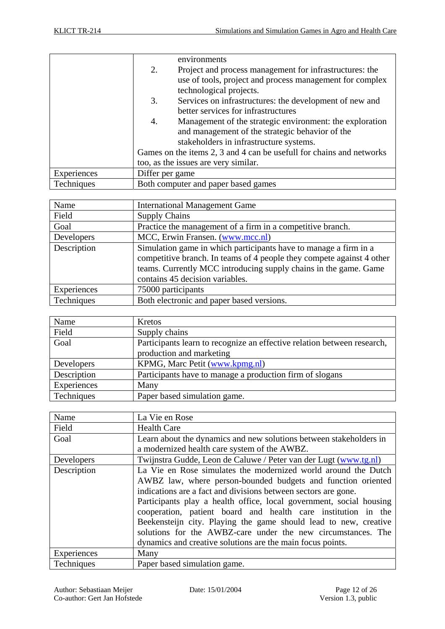|             | environments                                                         |  |
|-------------|----------------------------------------------------------------------|--|
|             | 2.<br>Project and process management for infrastructures: the        |  |
|             | use of tools, project and process management for complex             |  |
|             | technological projects.                                              |  |
|             | Services on infrastructures: the development of new and<br>3.        |  |
|             | better services for infrastructures                                  |  |
|             | Management of the strategic environment: the exploration<br>4.       |  |
|             | and management of the strategic behavior of the                      |  |
|             | stakeholders in infrastructure systems.                              |  |
|             | Games on the items 2, 3 and 4 can be usefull for chains and networks |  |
|             | too, as the issues are very similar.                                 |  |
| Experiences | Differ per game                                                      |  |
| Techniques  | Both computer and paper based games                                  |  |

| Name        | <b>International Management Game</b>                                  |
|-------------|-----------------------------------------------------------------------|
| Field       | <b>Supply Chains</b>                                                  |
| Goal        | Practice the management of a firm in a competitive branch.            |
| Developers  | MCC, Erwin Fransen. (www.mcc.nl)                                      |
| Description | Simulation game in which participants have to manage a firm in a      |
|             | competitive branch. In teams of 4 people they compete against 4 other |
|             | teams. Currently MCC introducing supply chains in the game. Game      |
|             | contains 45 decision variables.                                       |
| Experiences | 75000 participants                                                    |
| Techniques  | Both electronic and paper based versions.                             |

| Name        | Kretos                                                                  |
|-------------|-------------------------------------------------------------------------|
| Field       | Supply chains                                                           |
| Goal        | Participants learn to recognize an effective relation between research, |
|             | production and marketing                                                |
| Developers  | KPMG, Marc Petit (www.kpmg.nl)                                          |
| Description | Participants have to manage a production firm of slogans                |
| Experiences | Many                                                                    |
| Techniques  | Paper based simulation game.                                            |

| Name        | La Vie en Rose                                                      |
|-------------|---------------------------------------------------------------------|
| Field       | <b>Health Care</b>                                                  |
| Goal        | Learn about the dynamics and new solutions between stakeholders in  |
|             | a modernized health care system of the AWBZ.                        |
| Developers  | Twijnstra Gudde, Leon de Caluwe / Peter van der Lugt (www.tg.nl)    |
| Description | La Vie en Rose simulates the modernized world around the Dutch      |
|             | AWBZ law, where person-bounded budgets and function oriented        |
|             | indications are a fact and divisions between sectors are gone.      |
|             | Participants play a health office, local government, social housing |
|             | cooperation, patient board and health care institution in the       |
|             | Beekensteijn city. Playing the game should lead to new, creative    |
|             | solutions for the AWBZ-care under the new circumstances. The        |
|             | dynamics and creative solutions are the main focus points.          |
| Experiences | Many                                                                |
| Techniques  | Paper based simulation game.                                        |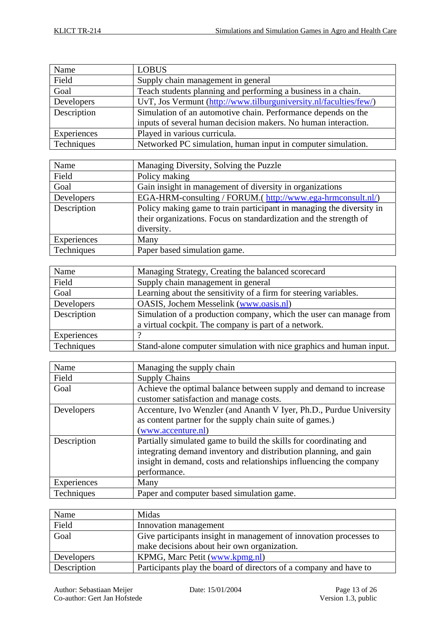| Name        | <b>LOBUS</b>                                                      |
|-------------|-------------------------------------------------------------------|
| Field       | Supply chain management in general                                |
| Goal        | Teach students planning and performing a business in a chain.     |
| Developers  | UvT, Jos Vermunt (http://www.tilburguniversity.nl/faculties/few/) |
| Description | Simulation of an automotive chain. Performance depends on the     |
|             | inputs of several human decision makers. No human interaction.    |
| Experiences | Played in various curricula.                                      |
| Techniques  | Networked PC simulation, human input in computer simulation.      |

| Name        | Managing Diversity, Solving the Puzzle                               |
|-------------|----------------------------------------------------------------------|
| Field       | Policy making                                                        |
| Goal        | Gain insight in management of diversity in organizations             |
| Developers  | EGA-HRM-consulting / FORUM.( http://www.ega-hrmconsult.nl/)          |
| Description | Policy making game to train participant in managing the diversity in |
|             | their organizations. Focus on standardization and the strength of    |
|             | diversity.                                                           |
| Experiences | Many                                                                 |
| Techniques  | Paper based simulation game.                                         |

| Name        | Managing Strategy, Creating the balanced scorecard                  |
|-------------|---------------------------------------------------------------------|
| Field       | Supply chain management in general                                  |
| Goal        | Learning about the sensitivity of a firm for steering variables.    |
| Developers  | OASIS, Jochem Messelink (www.oasis.nl)                              |
| Description | Simulation of a production company, which the user can manage from  |
|             | a virtual cockpit. The company is part of a network.                |
| Experiences |                                                                     |
| Techniques  | Stand-alone computer simulation with nice graphics and human input. |

| Name        | Managing the supply chain                                           |
|-------------|---------------------------------------------------------------------|
| Field       | <b>Supply Chains</b>                                                |
| Goal        | Achieve the optimal balance between supply and demand to increase   |
|             | customer satisfaction and manage costs.                             |
| Developers  | Accenture, Ivo Wenzler (and Ananth V Iyer, Ph.D., Purdue University |
|             | as content partner for the supply chain suite of games.)            |
|             | (www.accenture.nl)                                                  |
| Description | Partially simulated game to build the skills for coordinating and   |
|             | integrating demand inventory and distribution planning, and gain    |
|             | insight in demand, costs and relationships influencing the company  |
|             | performance.                                                        |
| Experiences | Many                                                                |
| Techniques  | Paper and computer based simulation game.                           |

| Name        | Midas                                                              |
|-------------|--------------------------------------------------------------------|
| Field       | Innovation management                                              |
| Goal        | Give participants insight in management of innovation processes to |
|             | make decisions about heir own organization.                        |
| Developers  | KPMG, Marc Petit (www.kpmg.nl)                                     |
| Description | Participants play the board of directors of a company and have to  |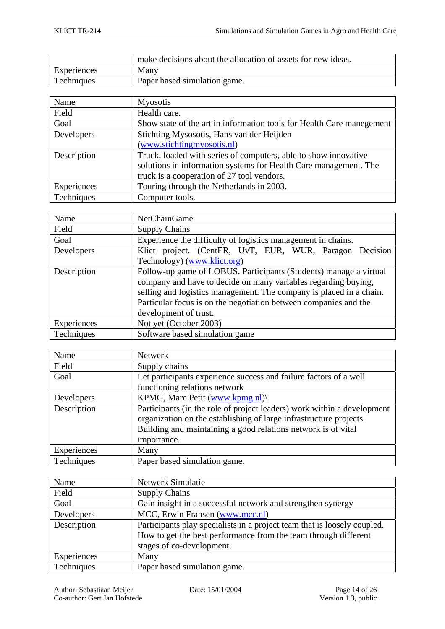|             | make decisions about the allocation of assets for new ideas. |
|-------------|--------------------------------------------------------------|
| Experiences | Many                                                         |
| Techniques  | Paper based simulation game.                                 |

| Name        | <b>Myosotis</b>                                                       |
|-------------|-----------------------------------------------------------------------|
| Field       | Health care.                                                          |
| Goal        | Show state of the art in information tools for Health Care manegement |
| Developers  | Stichting Mysosotis, Hans van der Heijden                             |
|             | (www.stichtingmyosotis.nl)                                            |
| Description | Truck, loaded with series of computers, able to show innovative       |
|             | solutions in information systems for Health Care management. The      |
|             | truck is a cooperation of 27 tool vendors.                            |
| Experiences | Touring through the Netherlands in 2003.                              |
| Techniques  | Computer tools.                                                       |

| Name        | <b>NetChainGame</b>                                                 |
|-------------|---------------------------------------------------------------------|
| Field       | <b>Supply Chains</b>                                                |
| Goal        | Experience the difficulty of logistics management in chains.        |
| Developers  | Klict project. (CentER, UvT, EUR, WUR, Paragon Decision             |
|             | Technology) (www.klict.org)                                         |
| Description | Follow-up game of LOBUS. Participants (Students) manage a virtual   |
|             | company and have to decide on many variables regarding buying,      |
|             | selling and logistics management. The company is placed in a chain. |
|             | Particular focus is on the negotiation between companies and the    |
|             | development of trust.                                               |
| Experiences | Not yet (October 2003)                                              |
| Techniques  | Software based simulation game                                      |

| Name        | <b>Netwerk</b>                                                                                                                                                                                                                |
|-------------|-------------------------------------------------------------------------------------------------------------------------------------------------------------------------------------------------------------------------------|
| Field       | Supply chains                                                                                                                                                                                                                 |
| Goal        | Let participants experience success and failure factors of a well                                                                                                                                                             |
|             | functioning relations network                                                                                                                                                                                                 |
| Developers  | KPMG, Marc Petit (www.kpmg.nl)                                                                                                                                                                                                |
| Description | Participants (in the role of project leaders) work within a development<br>organization on the establishing of large infrastructure projects.<br>Building and maintaining a good relations network is of vital<br>importance. |
| Experiences | Many                                                                                                                                                                                                                          |
| Techniques  | Paper based simulation game.                                                                                                                                                                                                  |

| Name        | Netwerk Simulatie                                                        |
|-------------|--------------------------------------------------------------------------|
| Field       | <b>Supply Chains</b>                                                     |
| Goal        | Gain insight in a successful network and strengthen synergy              |
| Developers  | MCC, Erwin Fransen (www.mcc.nl)                                          |
| Description | Participants play specialists in a project team that is loosely coupled. |
|             | How to get the best performance from the team through different          |
|             | stages of co-development.                                                |
| Experiences | Many                                                                     |
| Techniques  | Paper based simulation game.                                             |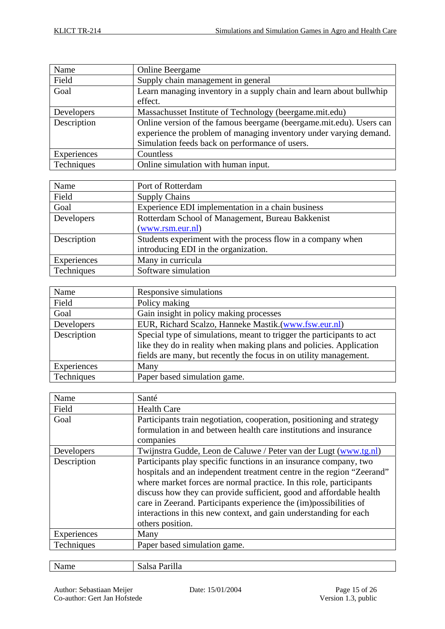| Name        | <b>Online Beergame</b>                                              |
|-------------|---------------------------------------------------------------------|
| Field       | Supply chain management in general                                  |
| Goal        | Learn managing inventory in a supply chain and learn about bullwhip |
|             | effect.                                                             |
| Developers  | Massachusset Institute of Technology (beergame.mit.edu)             |
| Description | Online version of the famous beergame (beergame.mit.edu). Users can |
|             | experience the problem of managing inventory under varying demand.  |
|             | Simulation feeds back on performance of users.                      |
| Experiences | Countless                                                           |
| Techniques  | Online simulation with human input.                                 |

| Name        | Port of Rotterdam                                           |
|-------------|-------------------------------------------------------------|
| Field       | <b>Supply Chains</b>                                        |
| Goal        | Experience EDI implementation in a chain business           |
| Developers  | Rotterdam School of Management, Bureau Bakkenist            |
|             | (www.rsm.eur.nl)                                            |
| Description | Students experiment with the process flow in a company when |
|             | introducing EDI in the organization.                        |
| Experiences | Many in curricula                                           |
| Techniques  | Software simulation                                         |

| Name        | Responsive simulations                                                |
|-------------|-----------------------------------------------------------------------|
| Field       | Policy making                                                         |
| Goal        | Gain insight in policy making processes                               |
| Developers  | EUR, Richard Scalzo, Hanneke Mastik.(www.fsw.eur.nl)                  |
| Description | Special type of simulations, meant to trigger the participants to act |
|             | like they do in reality when making plans and policies. Application   |
|             | fields are many, but recently the focus in on utility management.     |
| Experiences | Many                                                                  |
| Techniques  | Paper based simulation game.                                          |

| Name        | Santé                                                                 |
|-------------|-----------------------------------------------------------------------|
| Field       | <b>Health Care</b>                                                    |
| Goal        | Participants train negotiation, cooperation, positioning and strategy |
|             | formulation in and between health care institutions and insurance     |
|             | companies                                                             |
| Developers  | Twijnstra Gudde, Leon de Caluwe / Peter van der Lugt (www.tg.nl)      |
| Description | Participants play specific functions in an insurance company, two     |
|             | hospitals and an independent treatment centre in the region "Zeerand" |
|             | where market forces are normal practice. In this role, participants   |
|             | discuss how they can provide sufficient, good and affordable health   |
|             | care in Zeerand. Participants experience the (im)possibilities of     |
|             | interactions in this new context, and gain understanding for each     |
|             | others position.                                                      |
| Experiences | Many                                                                  |
| Techniques  | Paper based simulation game.                                          |
|             |                                                                       |

| Name | Salsa Parilla |
|------|---------------|
|------|---------------|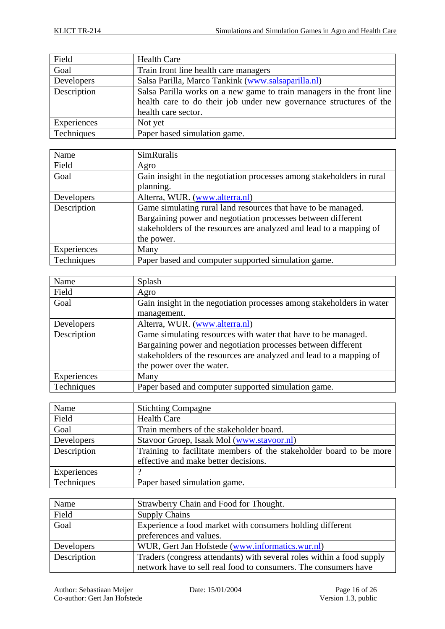| Field       | <b>Health Care</b>                                                    |
|-------------|-----------------------------------------------------------------------|
| Goal        | Train front line health care managers                                 |
| Developers  | Salsa Parilla, Marco Tankink (www.salsaparilla.nl)                    |
| Description | Salsa Parilla works on a new game to train managers in the front line |
|             | health care to do their job under new governance structures of the    |
|             | health care sector.                                                   |
| Experiences | Not yet                                                               |
| Techniques  | Paper based simulation game.                                          |

| Name        | <b>SimRuralis</b>                                                     |
|-------------|-----------------------------------------------------------------------|
| Field       | Agro                                                                  |
| Goal        | Gain insight in the negotiation processes among stakeholders in rural |
|             | planning.                                                             |
| Developers  | Alterra, WUR. (www.alterra.nl)                                        |
| Description | Game simulating rural land resources that have to be managed.         |
|             | Bargaining power and negotiation processes between different          |
|             | stakeholders of the resources are analyzed and lead to a mapping of   |
|             | the power.                                                            |
| Experiences | Many                                                                  |
| Techniques  | Paper based and computer supported simulation game.                   |

| Name        | Splash                                                                |
|-------------|-----------------------------------------------------------------------|
| Field       | Agro                                                                  |
| Goal        | Gain insight in the negotiation processes among stakeholders in water |
|             | management.                                                           |
| Developers  | Alterra, WUR. (www.alterra.nl)                                        |
| Description | Game simulating resources with water that have to be managed.         |
|             | Bargaining power and negotiation processes between different          |
|             | stakeholders of the resources are analyzed and lead to a mapping of   |
|             | the power over the water.                                             |
| Experiences | Many                                                                  |
| Techniques  | Paper based and computer supported simulation game.                   |

| Name        | <b>Stichting Compagne</b>                                          |
|-------------|--------------------------------------------------------------------|
| Field       | <b>Health Care</b>                                                 |
| Goal        | Train members of the stakeholder board.                            |
| Developers  | Stavoor Groep, Isaak Mol (www.stavoor.nl)                          |
| Description | Training to facilitate members of the stakeholder board to be more |
|             | effective and make better decisions.                               |
| Experiences |                                                                    |
| Techniques  | Paper based simulation game.                                       |

| Name        | Strawberry Chain and Food for Thought.                                |
|-------------|-----------------------------------------------------------------------|
| Field       | <b>Supply Chains</b>                                                  |
| Goal        | Experience a food market with consumers holding different             |
|             | preferences and values.                                               |
| Developers  | WUR, Gert Jan Hofstede (www.informatics.wur.nl)                       |
| Description | Traders (congress attendants) with several roles within a food supply |
|             | network have to sell real food to consumers. The consumers have       |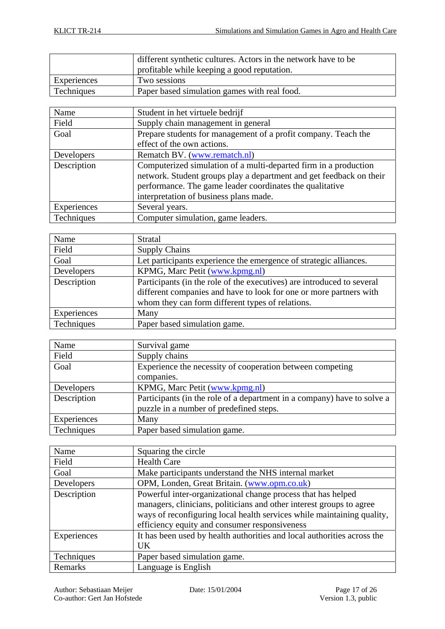|             | different synthetic cultures. Actors in the network have to be |
|-------------|----------------------------------------------------------------|
|             | profitable while keeping a good reputation.                    |
| Experiences | Two sessions                                                   |
| Techniques  | Paper based simulation games with real food.                   |

| Name        | Student in het virtuele bedrijf                                     |
|-------------|---------------------------------------------------------------------|
| Field       | Supply chain management in general                                  |
| Goal        | Prepare students for management of a profit company. Teach the      |
|             | effect of the own actions.                                          |
| Developers  | Rematch BV. (www.rematch.nl)                                        |
| Description | Computerized simulation of a multi-departed firm in a production    |
|             | network. Student groups play a department and get feedback on their |
|             | performance. The game leader coordinates the qualitative            |
|             | interpretation of business plans made.                              |
| Experiences | Several years.                                                      |
| Techniques  | Computer simulation, game leaders.                                  |
|             |                                                                     |

| Name        | Stratal                                                                |
|-------------|------------------------------------------------------------------------|
| Field       | <b>Supply Chains</b>                                                   |
| Goal        | Let participants experience the emergence of strategic alliances.      |
| Developers  | KPMG, Marc Petit (www.kpmg.nl)                                         |
| Description | Participants (in the role of the executives) are introduced to several |
|             | different companies and have to look for one or more partners with     |
|             | whom they can form different types of relations.                       |
| Experiences | Many                                                                   |
| Techniques  | Paper based simulation game.                                           |

| Name        | Survival game                                                           |
|-------------|-------------------------------------------------------------------------|
| Field       | Supply chains                                                           |
| Goal        | Experience the necessity of cooperation between competing               |
|             | companies.                                                              |
| Developers  | KPMG, Marc Petit (www.kpmg.nl)                                          |
| Description | Participants (in the role of a department in a company) have to solve a |
|             | puzzle in a number of predefined steps.                                 |
| Experiences | Many                                                                    |
| Techniques  | Paper based simulation game.                                            |

| Name        | Squaring the circle                                                     |
|-------------|-------------------------------------------------------------------------|
| Field       | <b>Health Care</b>                                                      |
| Goal        | Make participants understand the NHS internal market                    |
| Developers  | OPM, Londen, Great Britain. (www.opm.co.uk)                             |
| Description | Powerful inter-organizational change process that has helped            |
|             | managers, clinicians, politicians and other interest groups to agree    |
|             | ways of reconfiguring local health services while maintaining quality,  |
|             | efficiency equity and consumer responsiveness                           |
| Experiences | It has been used by health authorities and local authorities across the |
|             | UK                                                                      |
| Techniques  | Paper based simulation game.                                            |
| Remarks     | Language is English                                                     |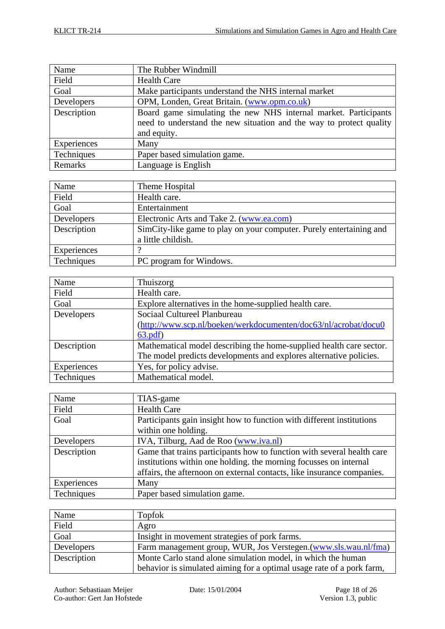| Name        | The Rubber Windmill                                                 |
|-------------|---------------------------------------------------------------------|
| Field       | <b>Health Care</b>                                                  |
| Goal        | Make participants understand the NHS internal market                |
| Developers  | OPM, Londen, Great Britain. (www.opm.co.uk)                         |
| Description | Board game simulating the new NHS internal market. Participants     |
|             | need to understand the new situation and the way to protect quality |
|             | and equity.                                                         |
| Experiences | Many                                                                |
| Techniques  | Paper based simulation game.                                        |
| Remarks     | Language is English                                                 |

| Name        | Theme Hospital                                                      |
|-------------|---------------------------------------------------------------------|
| Field       | Health care.                                                        |
| Goal        | Entertainment                                                       |
| Developers  | Electronic Arts and Take 2. (www.ea.com)                            |
| Description | SimCity-like game to play on your computer. Purely entertaining and |
|             | a little childish.                                                  |
| Experiences |                                                                     |
| Techniques  | PC program for Windows.                                             |

| Name        | Thuiszorg                                                           |
|-------------|---------------------------------------------------------------------|
| Field       | Health care.                                                        |
| Goal        | Explore alternatives in the home-supplied health care.              |
| Developers  | Sociaal Cultureel Planbureau                                        |
|             | (http://www.scp.nl/boeken/werkdocumenten/doc63/nl/acrobat/docu0     |
|             | 63.pdf                                                              |
| Description | Mathematical model describing the home-supplied health care sector. |
|             | The model predicts developments and explores alternative policies.  |
| Experiences | Yes, for policy advise.                                             |
| Techniques  | Mathematical model.                                                 |

| Name        | TIAS-game                                                              |
|-------------|------------------------------------------------------------------------|
| Field       | <b>Health Care</b>                                                     |
| Goal        | Participants gain insight how to function with different institutions  |
|             | within one holding.                                                    |
| Developers  | IVA, Tilburg, Aad de Roo (www.iva.nl)                                  |
| Description | Game that trains participants how to function with several health care |
|             | institutions within one holding. the morning focusses on internal      |
|             | affairs, the afternoon on external contacts, like insurance companies. |
| Experiences | Many                                                                   |
| Techniques  | Paper based simulation game.                                           |

| Name        | Topfok                                                                |
|-------------|-----------------------------------------------------------------------|
| Field       | Agro                                                                  |
| Goal        | Insight in movement strategies of pork farms.                         |
| Developers  | Farm management group, WUR, Jos Verstegen.(www.sls.wau.nl/fma)        |
| Description | Monte Carlo stand alone simulation model, in which the human          |
|             | behavior is simulated aiming for a optimal usage rate of a pork farm, |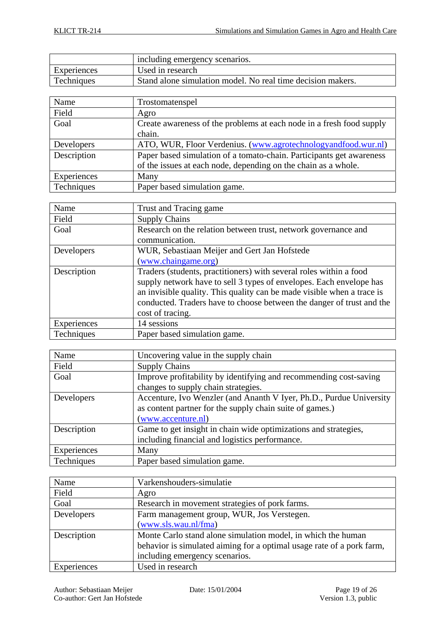|             | including emergency scenarios.                              |
|-------------|-------------------------------------------------------------|
| Experiences | Used in research                                            |
| Techniques  | Stand alone simulation model. No real time decision makers. |

| Name        | Trostomatenspel                                                      |
|-------------|----------------------------------------------------------------------|
| Field       | Agro                                                                 |
| Goal        | Create awareness of the problems at each node in a fresh food supply |
|             | chain.                                                               |
| Developers  | ATO, WUR, Floor Verdenius. (www.agrotechnologyandfood.wur.nl)        |
| Description | Paper based simulation of a tomato-chain. Participants get awareness |
|             | of the issues at each node, depending on the chain as a whole.       |
| Experiences | Many                                                                 |
| Techniques  | Paper based simulation game.                                         |

| Name        | Trust and Tracing game                                                                                                                                                                                                                                                                                           |
|-------------|------------------------------------------------------------------------------------------------------------------------------------------------------------------------------------------------------------------------------------------------------------------------------------------------------------------|
| Field       | <b>Supply Chains</b>                                                                                                                                                                                                                                                                                             |
| Goal        | Research on the relation between trust, network governance and                                                                                                                                                                                                                                                   |
|             | communication.                                                                                                                                                                                                                                                                                                   |
| Developers  | WUR, Sebastiaan Meijer and Gert Jan Hofstede                                                                                                                                                                                                                                                                     |
|             | (www.chaingame.org)                                                                                                                                                                                                                                                                                              |
| Description | Traders (students, practitioners) with several roles within a food<br>supply network have to sell 3 types of envelopes. Each envelope has<br>an invisible quality. This quality can be made visible when a trace is<br>conducted. Traders have to choose between the danger of trust and the<br>cost of tracing. |
| Experiences | 14 sessions                                                                                                                                                                                                                                                                                                      |
| Techniques  | Paper based simulation game.                                                                                                                                                                                                                                                                                     |

| Name        | Uncovering value in the supply chain                                |
|-------------|---------------------------------------------------------------------|
| Field       | <b>Supply Chains</b>                                                |
| Goal        | Improve profitability by identifying and recommending cost-saving   |
|             | changes to supply chain strategies.                                 |
| Developers  | Accenture, Ivo Wenzler (and Ananth V Iyer, Ph.D., Purdue University |
|             | as content partner for the supply chain suite of games.)            |
|             | (www.accenture.nl)                                                  |
| Description | Game to get insight in chain wide optimizations and strategies,     |
|             | including financial and logistics performance.                      |
| Experiences | Many                                                                |
| Techniques  | Paper based simulation game.                                        |

| Name        | Varkenshouders-simulatie                                              |
|-------------|-----------------------------------------------------------------------|
| Field       | Agro                                                                  |
| Goal        | Research in movement strategies of pork farms.                        |
| Developers  | Farm management group, WUR, Jos Verstegen.                            |
|             | (www.sls.wau.nl/fma)                                                  |
| Description | Monte Carlo stand alone simulation model, in which the human          |
|             | behavior is simulated aiming for a optimal usage rate of a pork farm, |
|             | including emergency scenarios.                                        |
| Experiences | Used in research                                                      |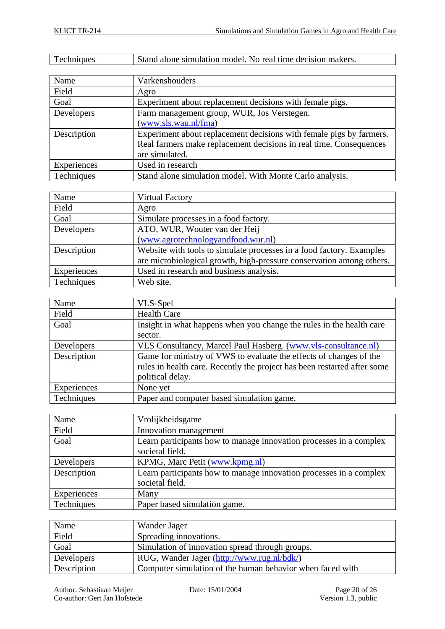| Techniques | Stand alone simulation model. No real time decision makers. |
|------------|-------------------------------------------------------------|
|            |                                                             |

| Name        | Varkenshouders                                                      |
|-------------|---------------------------------------------------------------------|
| Field       | Agro                                                                |
| Goal        | Experiment about replacement decisions with female pigs.            |
| Developers  | Farm management group, WUR, Jos Verstegen.                          |
|             | (www.sls.wau.nl/fma)                                                |
| Description | Experiment about replacement decisions with female pigs by farmers. |
|             | Real farmers make replacement decisions in real time. Consequences  |
|             | are simulated.                                                      |
| Experiences | Used in research                                                    |
| Techniques  | Stand alone simulation model. With Monte Carlo analysis.            |

| Name        | <b>Virtual Factory</b>                                               |
|-------------|----------------------------------------------------------------------|
| Field       | Agro                                                                 |
| Goal        | Simulate processes in a food factory.                                |
| Developers  | ATO, WUR, Wouter van der Heij                                        |
|             | (www.agrotechnologyandfood.wur.nl)                                   |
| Description | Website with tools to simulate processes in a food factory. Examples |
|             | are microbiological growth, high-pressure conservation among others. |
| Experiences | Used in research and business analysis.                              |
| Techniques  | Web site.                                                            |

| Name        | VLS-Spel                                                                 |
|-------------|--------------------------------------------------------------------------|
| Field       | <b>Health Care</b>                                                       |
| Goal        | Insight in what happens when you change the rules in the health care     |
|             | sector.                                                                  |
| Developers  | VLS Consultancy, Marcel Paul Hasberg. (www.vls-consultance.nl)           |
| Description | Game for ministry of VWS to evaluate the effects of changes of the       |
|             | rules in health care. Recently the project has been restarted after some |
|             | political delay.                                                         |
| Experiences | None yet                                                                 |
| Techniques  | Paper and computer based simulation game.                                |

| Name        | Vrolijkheidsgame                                                   |
|-------------|--------------------------------------------------------------------|
| Field       | Innovation management                                              |
| Goal        | Learn participants how to manage innovation processes in a complex |
|             | societal field.                                                    |
| Developers  | KPMG, Marc Petit (www.kpmg.nl)                                     |
| Description | Learn participants how to manage innovation processes in a complex |
|             | societal field.                                                    |
| Experiences | Many                                                               |
| Techniques  | Paper based simulation game.                                       |

| Name        | Wander Jager                                              |
|-------------|-----------------------------------------------------------|
| Field       | Spreading innovations.                                    |
| Goal        | Simulation of innovation spread through groups.           |
| Developers  | RUG, Wander Jager (http://www.rug.nl/bdk/)                |
| Description | Computer simulation of the human behavior when faced with |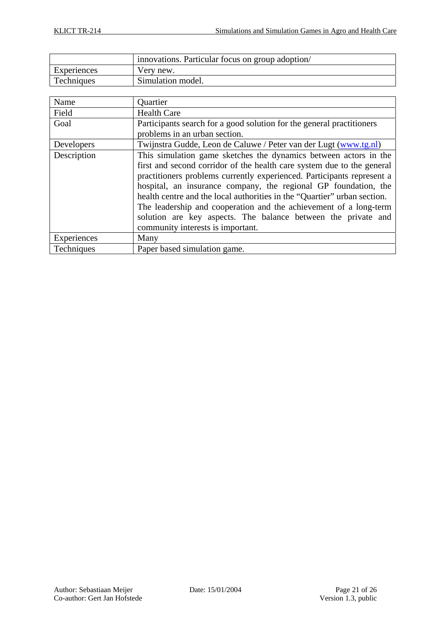|             | innovations. Particular focus on group adoption/ |
|-------------|--------------------------------------------------|
| Experiences | Very new.                                        |
| Techniques  | Simulation model.                                |

| Name        | Quartier                                                                 |
|-------------|--------------------------------------------------------------------------|
| Field       | <b>Health Care</b>                                                       |
| Goal        | Participants search for a good solution for the general practitioners    |
|             | problems in an urban section.                                            |
| Developers  | Twijnstra Gudde, Leon de Caluwe / Peter van der Lugt (www.tg.nl)         |
| Description | This simulation game sketches the dynamics between actors in the         |
|             | first and second corridor of the health care system due to the general   |
|             | practitioners problems currently experienced. Participants represent a   |
|             | hospital, an insurance company, the regional GP foundation, the          |
|             | health centre and the local authorities in the "Quartier" urban section. |
|             | The leadership and cooperation and the achievement of a long-term        |
|             | solution are key aspects. The balance between the private and            |
|             | community interests is important.                                        |
| Experiences | Many                                                                     |
| Techniques  | Paper based simulation game.                                             |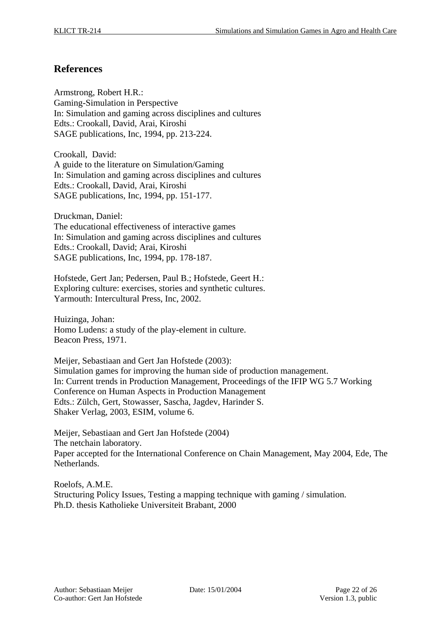## **References**

Armstrong, Robert H.R.: Gaming-Simulation in Perspective In: Simulation and gaming across disciplines and cultures Edts.: Crookall, David, Arai, Kiroshi SAGE publications, Inc, 1994, pp. 213-224.

Crookall, David: A guide to the literature on Simulation/Gaming In: Simulation and gaming across disciplines and cultures Edts.: Crookall, David, Arai, Kiroshi SAGE publications, Inc, 1994, pp. 151-177.

Druckman, Daniel: The educational effectiveness of interactive games In: Simulation and gaming across disciplines and cultures Edts.: Crookall, David; Arai, Kiroshi SAGE publications, Inc, 1994, pp. 178-187.

Hofstede, Gert Jan; Pedersen, Paul B.; Hofstede, Geert H.: Exploring culture: exercises, stories and synthetic cultures. Yarmouth: Intercultural Press, Inc, 2002.

Huizinga, Johan: Homo Ludens: a study of the play-element in culture. Beacon Press, 1971.

Meijer, Sebastiaan and Gert Jan Hofstede (2003): Simulation games for improving the human side of production management. In: Current trends in Production Management, Proceedings of the IFIP WG 5.7 Working Conference on Human Aspects in Production Management Edts.: Zülch, Gert, Stowasser, Sascha, Jagdev, Harinder S. Shaker Verlag, 2003, ESIM, volume 6.

Meijer, Sebastiaan and Gert Jan Hofstede (2004) The netchain laboratory. Paper accepted for the International Conference on Chain Management, May 2004, Ede, The Netherlands.

Roelofs, A.M.E. Structuring Policy Issues, Testing a mapping technique with gaming / simulation. Ph.D. thesis Katholieke Universiteit Brabant, 2000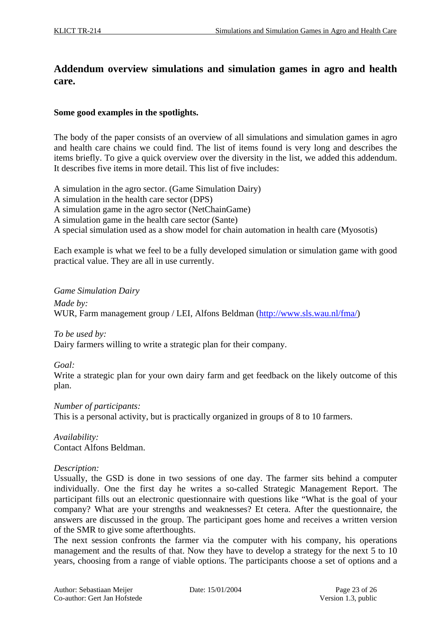# **Addendum overview simulations and simulation games in agro and health care.**

#### **Some good examples in the spotlights.**

The body of the paper consists of an overview of all simulations and simulation games in agro and health care chains we could find. The list of items found is very long and describes the items briefly. To give a quick overview over the diversity in the list, we added this addendum. It describes five items in more detail. This list of five includes:

A simulation in the agro sector. (Game Simulation Dairy)

- A simulation in the health care sector (DPS)
- A simulation game in the agro sector (NetChainGame)
- A simulation game in the health care sector (Sante)
- A special simulation used as a show model for chain automation in health care (Myosotis)

Each example is what we feel to be a fully developed simulation or simulation game with good practical value. They are all in use currently.

*Game Simulation Dairy* 

*Made by:*  WUR, Farm management group / LEI, Alfons Beldman (http://www.sls.wau.nl/fma/)

*To be used by:* 

Dairy farmers willing to write a strategic plan for their company.

#### *Goal:*

Write a strategic plan for your own dairy farm and get feedback on the likely outcome of this plan.

*Number of participants:*  This is a personal activity, but is practically organized in groups of 8 to 10 farmers.

*Availability:*  Contact Alfons Beldman.

#### *Description:*

Ussually, the GSD is done in two sessions of one day. The farmer sits behind a computer individually. One the first day he writes a so-called Strategic Management Report. The participant fills out an electronic questionnaire with questions like "What is the goal of your company? What are your strengths and weaknesses? Et cetera. After the questionnaire, the answers are discussed in the group. The participant goes home and receives a written version of the SMR to give some afterthoughts.

The next session confronts the farmer via the computer with his company, his operations management and the results of that. Now they have to develop a strategy for the next 5 to 10 years, choosing from a range of viable options. The participants choose a set of options and a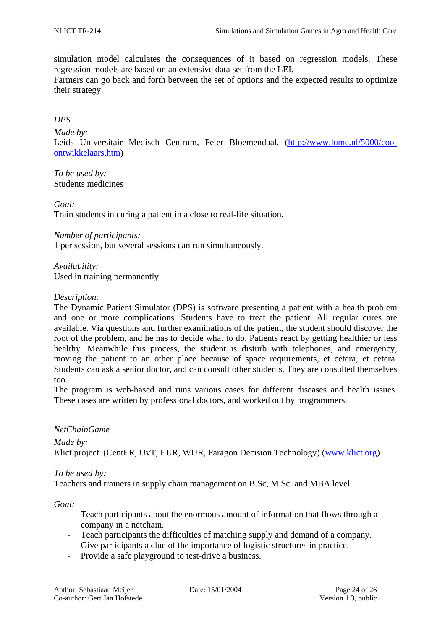simulation model calculates the consequences of it based on regression models. These regression models are based on an extensive data set from the LEI.

Farmers can go back and forth between the set of options and the expected results to optimize their strategy.

### *DPS*

*Made by:* 

Leids Universitair Medisch Centrum, Peter Bloemendaal. (http://www.lumc.nl/5000/cooontwikkelaars.htm)

*To be used by:*  Students medicines

*Goal:* 

Train students in curing a patient in a close to real-life situation.

*Number of participants:*

1 per session, but several sessions can run simultaneously.

*Availability:* Used in training permanently

#### *Description:*

The Dynamic Patient Simulator (DPS) is software presenting a patient with a health problem and one or more complications. Students have to treat the patient. All regular cures are available. Via questions and further examinations of the patient, the student should discover the root of the problem, and he has to decide what to do. Patients react by getting healthier or less healthy. Meanwhile this process, the student is disturb with telephones, and emergency, moving the patient to an other place because of space requirements, et cetera, et cetera. Students can ask a senior doctor, and can consult other students. They are consulted themselves too.

The program is web-based and runs various cases for different diseases and health issues. These cases are written by professional doctors, and worked out by programmers.

#### *NetChainGame*

*Made by:* Klict project. (CentER, UvT, EUR, WUR, Paragon Decision Technology) (www.klict.org)

#### *To be used by:*

Teachers and trainers in supply chain management on B.Sc, M.Sc. and MBA level.

*Goal:* 

- Teach participants about the enormous amount of information that flows through a company in a netchain.
- Teach participants the difficulties of matching supply and demand of a company.
- Give participants a clue of the importance of logistic structures in practice.
- Provide a safe playground to test-drive a business.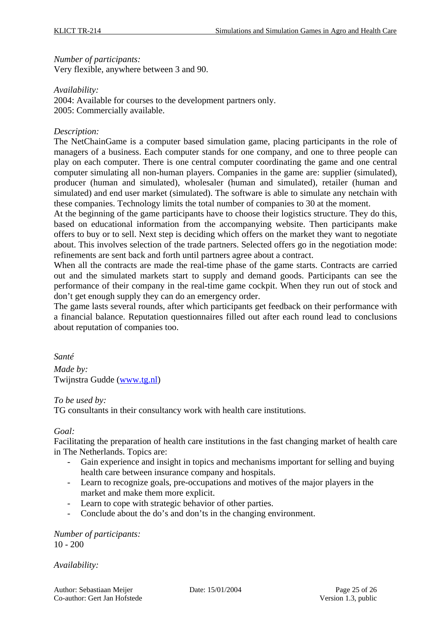#### *Number of participants:*

Very flexible, anywhere between 3 and 90.

#### *Availability:*

2004: Available for courses to the development partners only. 2005: Commercially available.

#### *Description:*

The NetChainGame is a computer based simulation game, placing participants in the role of managers of a business. Each computer stands for one company, and one to three people can play on each computer. There is one central computer coordinating the game and one central computer simulating all non-human players. Companies in the game are: supplier (simulated), producer (human and simulated), wholesaler (human and simulated), retailer (human and simulated) and end user market (simulated). The software is able to simulate any netchain with these companies. Technology limits the total number of companies to 30 at the moment.

At the beginning of the game participants have to choose their logistics structure. They do this, based on educational information from the accompanying website. Then participants make offers to buy or to sell. Next step is deciding which offers on the market they want to negotiate about. This involves selection of the trade partners. Selected offers go in the negotiation mode: refinements are sent back and forth until partners agree about a contract.

When all the contracts are made the real-time phase of the game starts. Contracts are carried out and the simulated markets start to supply and demand goods. Participants can see the performance of their company in the real-time game cockpit. When they run out of stock and don't get enough supply they can do an emergency order.

The game lasts several rounds, after which participants get feedback on their performance with a financial balance. Reputation questionnaires filled out after each round lead to conclusions about reputation of companies too.

*Santé* 

*Made by:*  Twijnstra Gudde (www.tg.nl)

#### *To be used by:*

TG consultants in their consultancy work with health care institutions.

#### *Goal:*

Facilitating the preparation of health care institutions in the fast changing market of health care in The Netherlands. Topics are:

- Gain experience and insight in topics and mechanisms important for selling and buying health care between insurance company and hospitals.
- Learn to recognize goals, pre-occupations and motives of the major players in the market and make them more explicit.
- Learn to cope with strategic behavior of other parties.
- Conclude about the do's and don'ts in the changing environment.

*Number of participants:*  10 - 200

*Availability:*